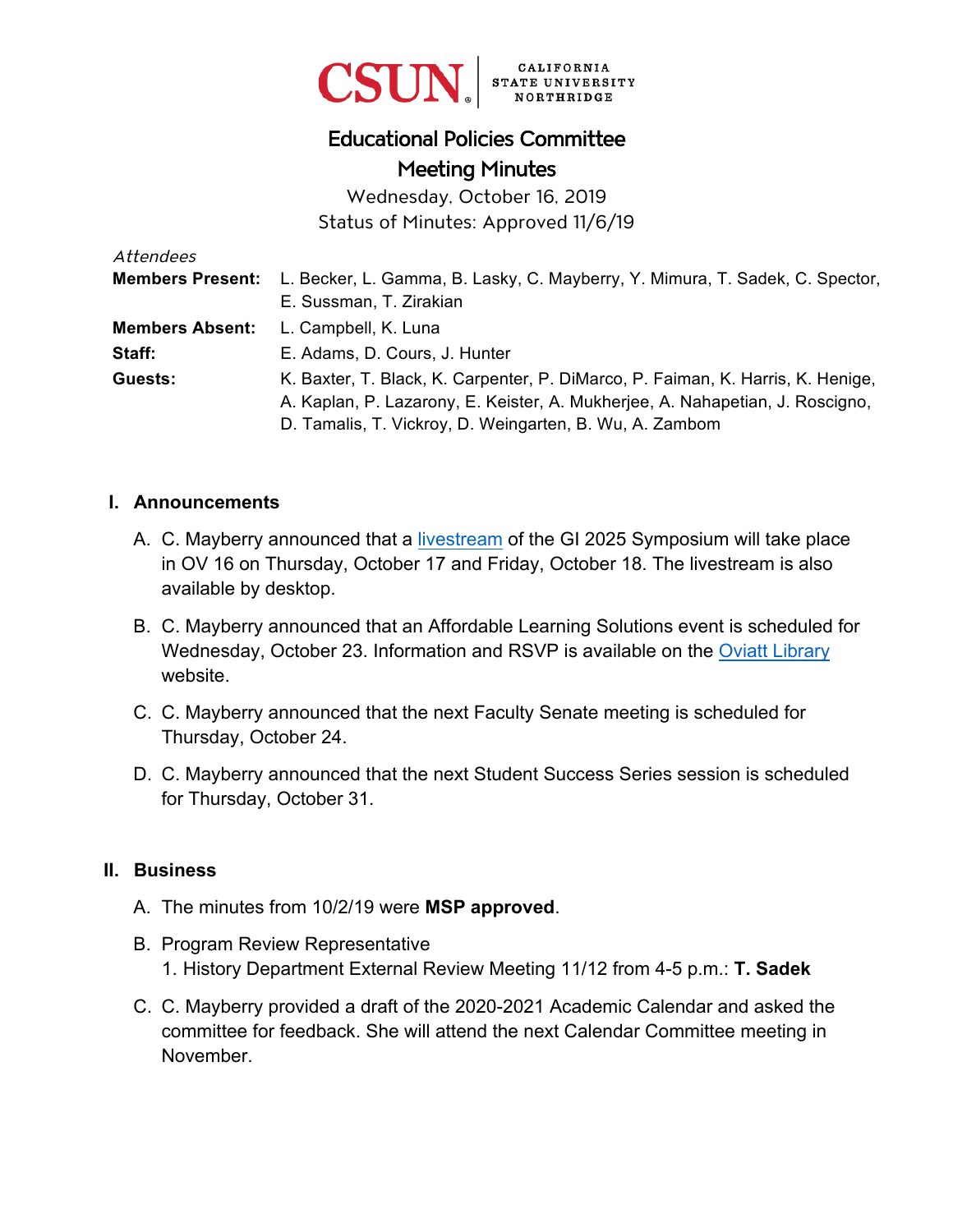

# Educational Policies Committee Meeting Minutes

Wednesday, October 16, 2019 Status of Minutes: Approved 11/6/19

| Attendees              |                                                                                               |
|------------------------|-----------------------------------------------------------------------------------------------|
|                        | Members Present: L. Becker, L. Gamma, B. Lasky, C. Mayberry, Y. Mimura, T. Sadek, C. Spector, |
|                        | E. Sussman, T. Zirakian                                                                       |
| <b>Members Absent:</b> | L. Campbell, K. Luna                                                                          |
| Staff:                 | E. Adams, D. Cours, J. Hunter                                                                 |
| Guests:                | K. Baxter, T. Black, K. Carpenter, P. DiMarco, P. Faiman, K. Harris, K. Henige,               |
|                        | A. Kaplan, P. Lazarony, E. Keister, A. Mukherjee, A. Nahapetian, J. Roscigno,                 |
|                        | D. Tamalis, T. Vickroy, D. Weingarten, B. Wu, A. Zambom                                       |

#### **I. Announcements**

- A. C. Mayberry announced that a [livestream](http://www.calstate.edu/GraduationInitiative) of the GI 2025 Symposium will take place in OV 16 on Thursday, October 17 and Friday, October 18. The livestream is also available by desktop.
- B. C. Mayberry announced that an Affordable Learning Solutions event is scheduled for Wednesday, October 23. Information and RSVP is available on the [Oviatt Library](https://library.csun.edu/events/als-2019) website.
- C. C. Mayberry announced that the next Faculty Senate meeting is scheduled for Thursday, October 24.
- D. C. Mayberry announced that the next Student Success Series session is scheduled for Thursday, October 31.

#### **II. Business**

- A. The minutes from 10/2/19 were **MSP approved**.
- B. Program Review Representative 1. History Department External Review Meeting 11/12 from 4-5 p.m.: **T. Sadek**
- C. C. Mayberry provided a draft of the 2020-2021 Academic Calendar and asked the committee for feedback. She will attend the next Calendar Committee meeting in November.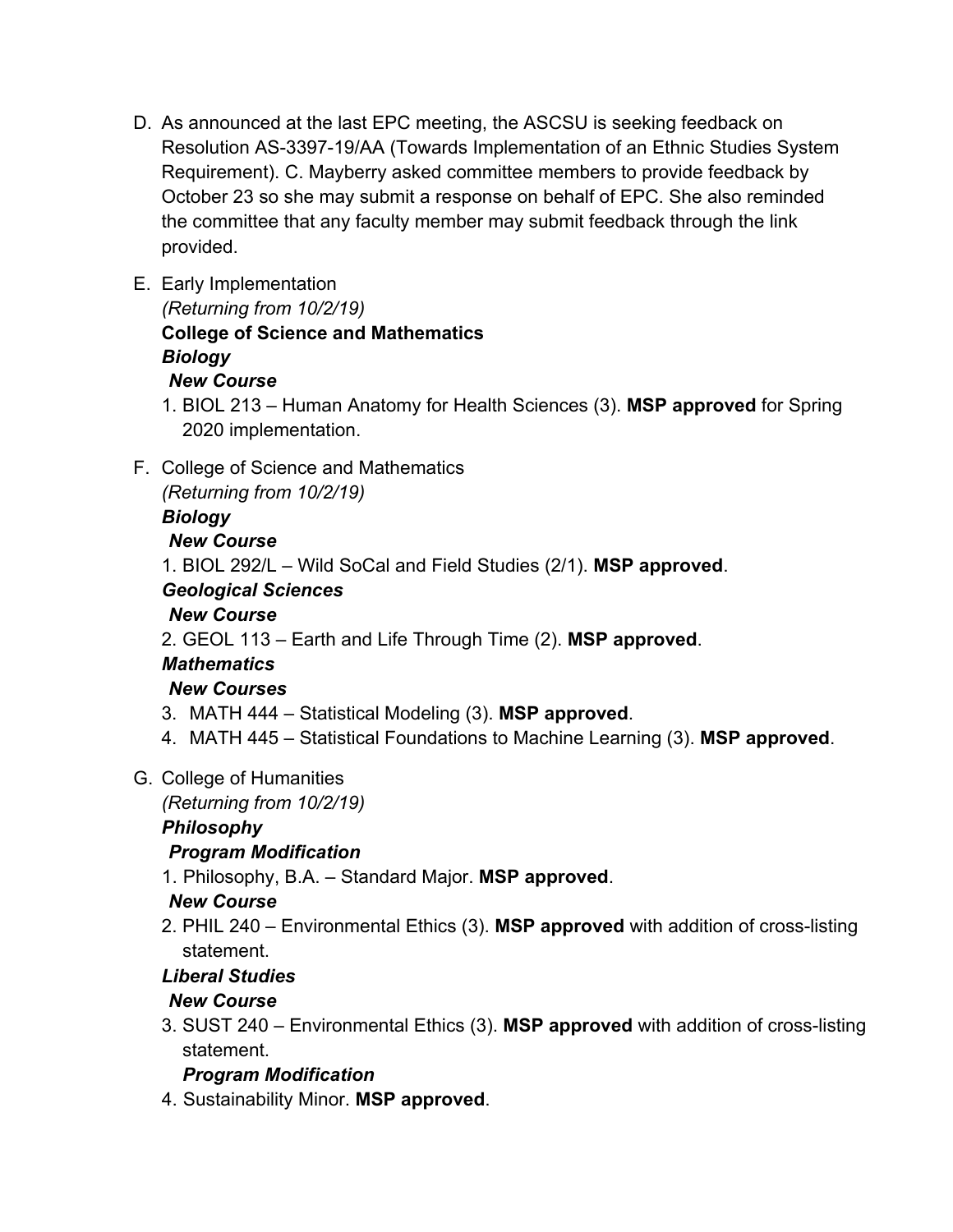- D. As announced at the last EPC meeting, the ASCSU is seeking feedback on Resolution AS-3397-19/AA (Towards Implementation of an Ethnic Studies System Requirement). C. Mayberry asked committee members to provide feedback by October 23 so she may submit a response on behalf of EPC. She also reminded the committee that any faculty member may submit feedback through the link provided.
- E. Early Implementation

*(Returning from 10/2/19)* **College of Science and Mathematics** 

#### *Biology New Course*

- 1. BIOL 213 Human Anatomy for Health Sciences (3). **MSP approved** for Spring 2020 implementation.
- F. College of Science and Mathematics

*(Returning from 10/2/19)*

#### *Biology*

## *New Course*

1. BIOL 292/L – Wild SoCal and Field Studies (2/1). **MSP approved**.

## *Geological Sciences*

## *New Course*

2. GEOL 113 – Earth and Life Through Time (2). **MSP approved**.

# *Mathematics*

## *New Courses*

- 3. MATH 444 Statistical Modeling (3). **MSP approved**.
- 4. MATH 445 Statistical Foundations to Machine Learning (3). **MSP approved**.

## G. College of Humanities

*(Returning from 10/2/19)*

## *Philosophy*

## *Program Modification*

1. Philosophy, B.A. – Standard Major. **MSP approved**.

#### *New Course*

2. PHIL 240 – Environmental Ethics (3). **MSP approved** with addition of cross-listing statement.

## *Liberal Studies*

## *New Course*

3. SUST 240 – Environmental Ethics (3). **MSP approved** with addition of cross-listing statement.

## *Program Modification*

4. Sustainability Minor. **MSP approved**.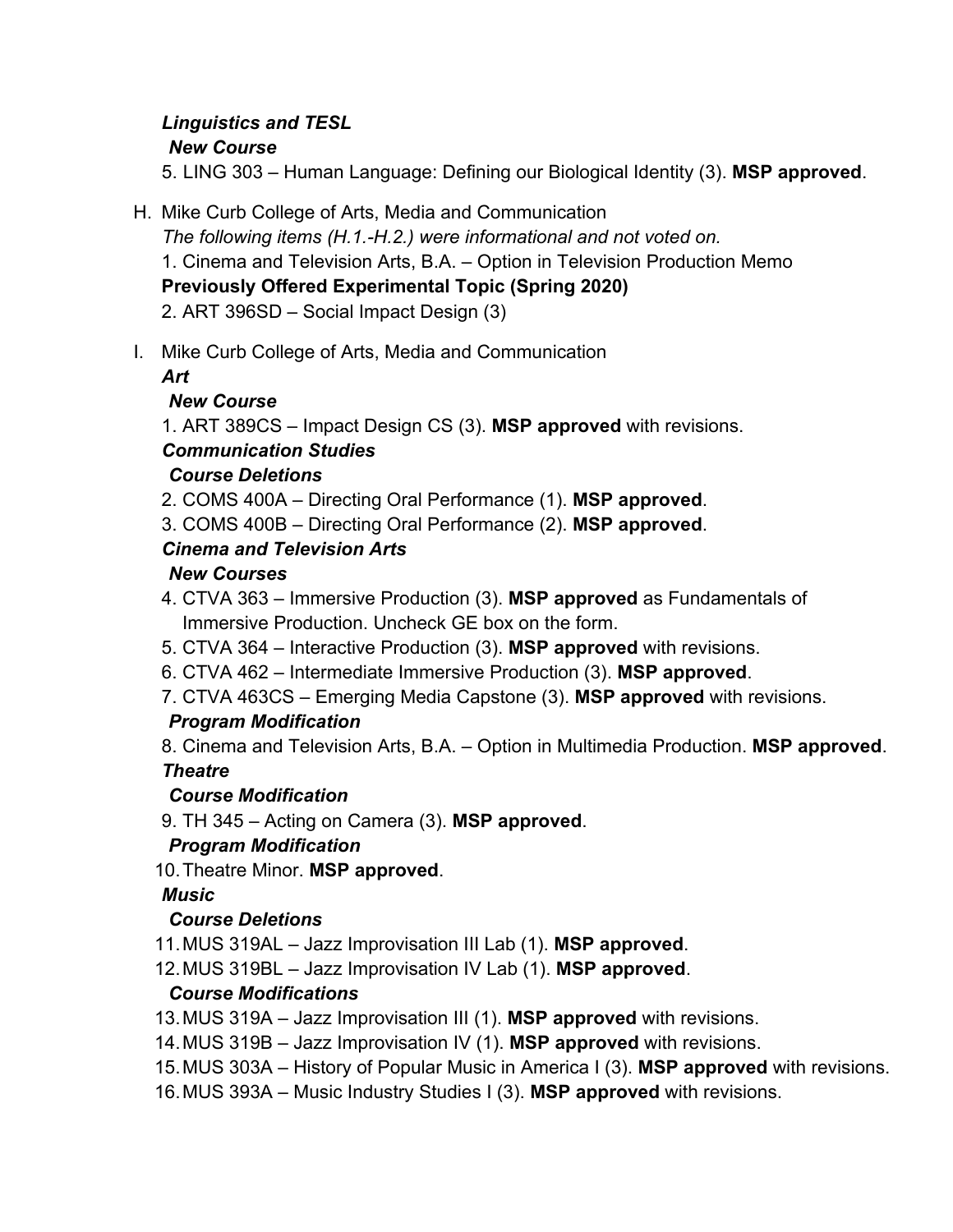# *Linguistics and TESL*

#### *New Course*

5. LING 303 – Human Language: Defining our Biological Identity (3). **MSP approved**.

H. Mike Curb College of Arts, Media and Communication

*The following items (H.1.-H.2.) were informational and not voted on.*  1. Cinema and Television Arts, B.A. – Option in Television Production Memo **Previously Offered Experimental Topic (Spring 2020)**  2. ART 396SD – Social Impact Design (3)

I. Mike Curb College of Arts, Media and Communication

*Art*

## *New Course*

1. ART 389CS – Impact Design CS (3). **MSP approved** with revisions.

## *Communication Studies*

## *Course Deletions*

- 2. COMS 400A Directing Oral Performance (1). **MSP approved**.
- 3. COMS 400B Directing Oral Performance (2). **MSP approved**.

## *Cinema and Television Arts*

## *New Courses*

- 4. CTVA 363 Immersive Production (3). **MSP approved** as Fundamentals of Immersive Production. Uncheck GE box on the form.
- 5. CTVA 364 Interactive Production (3). **MSP approved** with revisions.
- 6. CTVA 462 Intermediate Immersive Production (3). **MSP approved**.
- 7. CTVA 463CS Emerging Media Capstone (3). **MSP approved** with revisions.

## *Program Modification*

8. Cinema and Television Arts, B.A. – Option in Multimedia Production. **MSP approved**. *Theatre* 

#### *Course Modification*

9. TH 345 – Acting on Camera (3). **MSP approved**.

#### *Program Modification*

10. Theatre Minor. **MSP approved**.

## *Music*

## *Course Deletions*

- 11. MUS 319AL Jazz Improvisation III Lab (1). **MSP approved**.
- 12. MUS 319BL Jazz Improvisation IV Lab (1). **MSP approved**.

## *Course Modifications*

- 13. MUS 319A Jazz Improvisation III (1). **MSP approved** with revisions.
- 14. MUS 319B Jazz Improvisation IV (1). **MSP approved** with revisions.
- 15. MUS 303A History of Popular Music in America I (3). **MSP approved** with revisions.
- 16. MUS 393A Music Industry Studies I (3). **MSP approved** with revisions.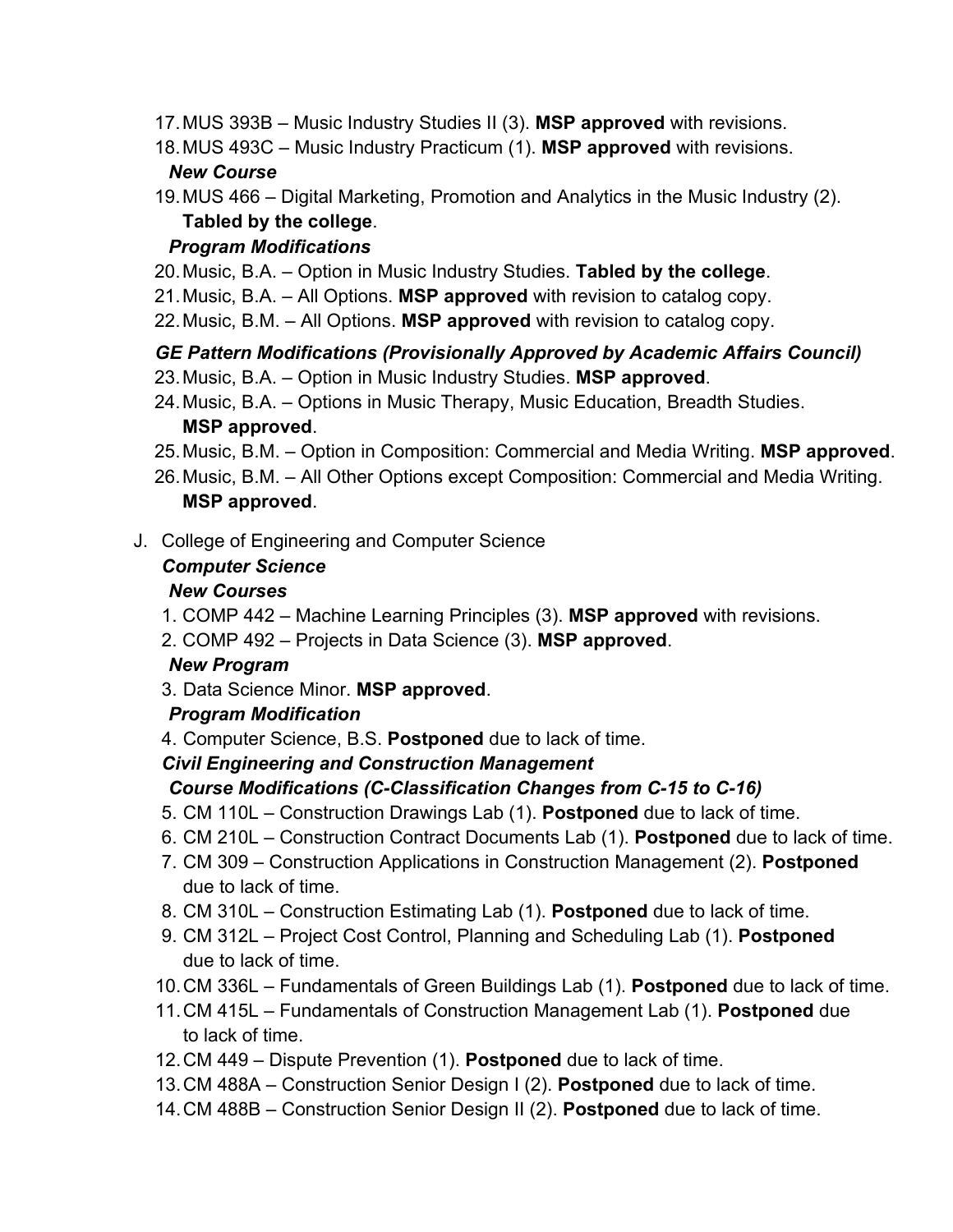- 17. MUS 393B Music Industry Studies II (3). **MSP approved** with revisions.
- 18. MUS 493C Music Industry Practicum (1). **MSP approved** with revisions. *New Course*
- 19. MUS 466 Digital Marketing, Promotion and Analytics in the Music Industry (2). **Tabled by the college**.

#### *Program Modifications*

- 20. Music, B.A. Option in Music Industry Studies. **Tabled by the college**.
- 21. Music, B.A. All Options. **MSP approved** with revision to catalog copy.
- 22. Music, B.M. All Options. **MSP approved** with revision to catalog copy.

## *GE Pattern Modifications (Provisionally Approved by Academic Affairs Council)*

- 23. Music, B.A. Option in Music Industry Studies. **MSP approved**.
- 24. Music, B.A. Options in Music Therapy, Music Education, Breadth Studies. **MSP approved**.
- 25. Music, B.M. Option in Composition: Commercial and Media Writing. **MSP approved**.
- 26. Music, B.M. All Other Options except Composition: Commercial and Media Writing. **MSP approved**.
- J. College of Engineering and Computer Science

#### *Computer Science*

## *New Courses*

- 1. COMP 442 Machine Learning Principles (3). **MSP approved** with revisions.
- 2. COMP 492 Projects in Data Science (3). **MSP approved**.

#### *New Program*

3. Data Science Minor. **MSP approved**.

## *Program Modification*

4. Computer Science, B.S. **Postponed** due to lack of time.

## *Civil Engineering and Construction Management*

## *Course Modifications (C-Classification Changes from C-15 to C-16)*

- 5. CM 110L Construction Drawings Lab (1). **Postponed** due to lack of time.
- 6. CM 210L Construction Contract Documents Lab (1). **Postponed** due to lack of time.
- 7. CM 309 Construction Applications in Construction Management (2). **Postponed** due to lack of time.
- 8. CM 310L Construction Estimating Lab (1). **Postponed** due to lack of time.
- 9. CM 312L Project Cost Control, Planning and Scheduling Lab (1). **Postponed** due to lack of time.
- 10. CM 336L Fundamentals of Green Buildings Lab (1). **Postponed** due to lack of time.
- 11. CM 415L Fundamentals of Construction Management Lab (1). **Postponed** due to lack of time.
- 12. CM 449 Dispute Prevention (1). **Postponed** due to lack of time.
- 13. CM 488A Construction Senior Design I (2). **Postponed** due to lack of time.
- 14. CM 488B Construction Senior Design II (2). **Postponed** due to lack of time.